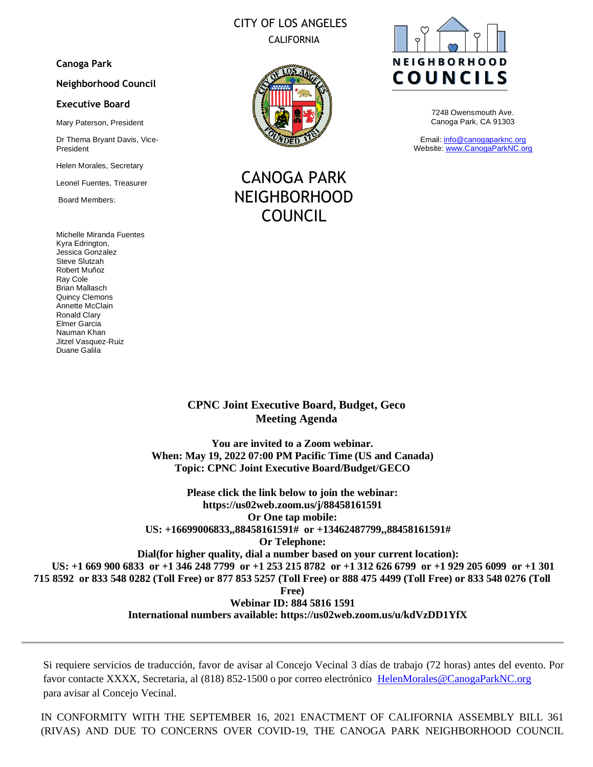# CITY OF LOS ANGELES CALIFORNIA

### **Canoga Park**

#### **Neighborhood Council**

#### **Executive Board**

Mary Paterson, President

Dr Thema Bryant Davis, Vice-President

Helen Morales, Secretary

Leonel Fuentes, Treasurer

Board Members:

Michelle Miranda Fuentes Kyra Edrington, Jessica Gonzalez Steve Slutzah Robert Muñoz Ray Cole Brian Mallasch Quincy Clemons Annette McClain Ronald Clary Elmer Garcia Nauman Khan Jitzel Vasquez-Ruiz Duane Galila



CANOGA PARK NEIGHBORHOOD COUNCIL



7248 Owensmouth Ave. Canoga Park, CA 91303

Email: [info@canogaparknc.org](mailto:info@canogaparknc.org) Website[: www.CanogaParkNC.org](http://www.canogaparknc.org/)

**CPNC Joint Executive Board, Budget, Geco Meeting Agenda** 

**You are invited to a Zoom webinar. When: May 19, 2022 07:00 PM Pacific Time (US and Canada) Topic: CPNC Joint Executive Board/Budget/GECO**

**Please click the link below to join the webinar: https://us02web.zoom.us/j/88458161591 Or One tap mobile: US: +16699006833,,88458161591# or +13462487799,,88458161591# Or Telephone: Dial(for higher quality, dial a number based on your current location): US: +1 669 900 6833 or +1 346 248 7799 or +1 253 215 8782 or +1 312 626 6799 or +1 929 205 6099 or +1 301 715 8592 or 833 548 0282 (Toll Free) or 877 853 5257 (Toll Free) or 888 475 4499 (Toll Free) or 833 548 0276 (Toll Free) Webinar ID: 884 5816 1591 International numbers available: https://us02web.zoom.us/u/kdVzDD1YfX**

Si requiere servicios de traducción, favor de avisar al Concejo Vecinal 3 días de trabajo (72 horas) antes del evento. Por favor contacte XXXX, Secretaria, al (818) 852-1500 o por correo electrónico [HelenMorales@CanogaParkNC.org](mailto:HelenMorales@CanogaParkNC.org) para avisar al Concejo Vecinal.

IN CONFORMITY WITH THE SEPTEMBER 16, 2021 ENACTMENT OF CALIFORNIA ASSEMBLY BILL 361 (RIVAS) AND DUE TO CONCERNS OVER COVID-19, THE CANOGA PARK NEIGHBORHOOD COUNCIL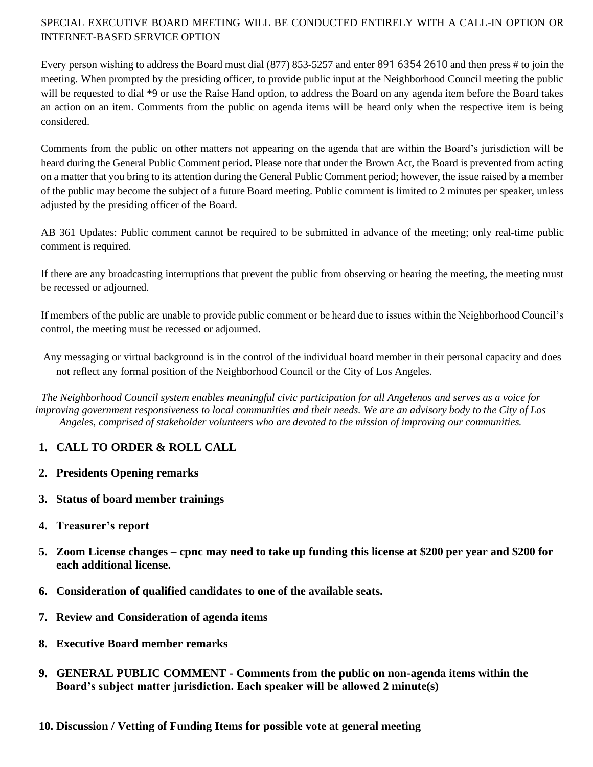# SPECIAL EXECUTIVE BOARD MEETING WILL BE CONDUCTED ENTIRELY WITH A CALL-IN OPTION OR INTERNET-BASED SERVICE OPTION

Every person wishing to address the Board must dial (877) 853-5257 and enter 891 6354 2610 and then press # to join the meeting. When prompted by the presiding officer, to provide public input at the Neighborhood Council meeting the public will be requested to dial \*9 or use the Raise Hand option, to address the Board on any agenda item before the Board takes an action on an item. Comments from the public on agenda items will be heard only when the respective item is being considered.

Comments from the public on other matters not appearing on the agenda that are within the Board's jurisdiction will be heard during the General Public Comment period. Please note that under the Brown Act, the Board is prevented from acting on a matter that you bring to its attention during the General Public Comment period; however, the issue raised by a member of the public may become the subject of a future Board meeting. Public comment is limited to 2 minutes per speaker, unless adjusted by the presiding officer of the Board.

AB 361 Updates: Public comment cannot be required to be submitted in advance of the meeting; only real-time public comment is required.

If there are any broadcasting interruptions that prevent the public from observing or hearing the meeting, the meeting must be recessed or adjourned.

If members of the public are unable to provide public comment or be heard due to issues within the Neighborhood Council's control, the meeting must be recessed or adjourned.

Any messaging or virtual background is in the control of the individual board member in their personal capacity and does not reflect any formal position of the Neighborhood Council or the City of Los Angeles.

*The Neighborhood Council system enables meaningful civic participation for all Angelenos and serves as a voice for improving government responsiveness to local communities and their needs. We are an advisory body to the City of Los Angeles, comprised of stakeholder volunteers who are devoted to the mission of improving our communities.*

# **1. CALL TO ORDER & ROLL CALL**

- **2. Presidents Opening remarks**
- **3. Status of board member trainings**
- **4. Treasurer's report**
- **5. Zoom License changes – cpnc may need to take up funding this license at \$200 per year and \$200 for each additional license.**
- **6. Consideration of qualified candidates to one of the available seats.**
- **7. Review and Consideration of agenda items**
- **8. Executive Board member remarks**
- **9. GENERAL PUBLIC COMMENT - Comments from the public on non-agenda items within the Board's subject matter jurisdiction. Each speaker will be allowed 2 minute(s)**
- **10. Discussion / Vetting of Funding Items for possible vote at general meeting**